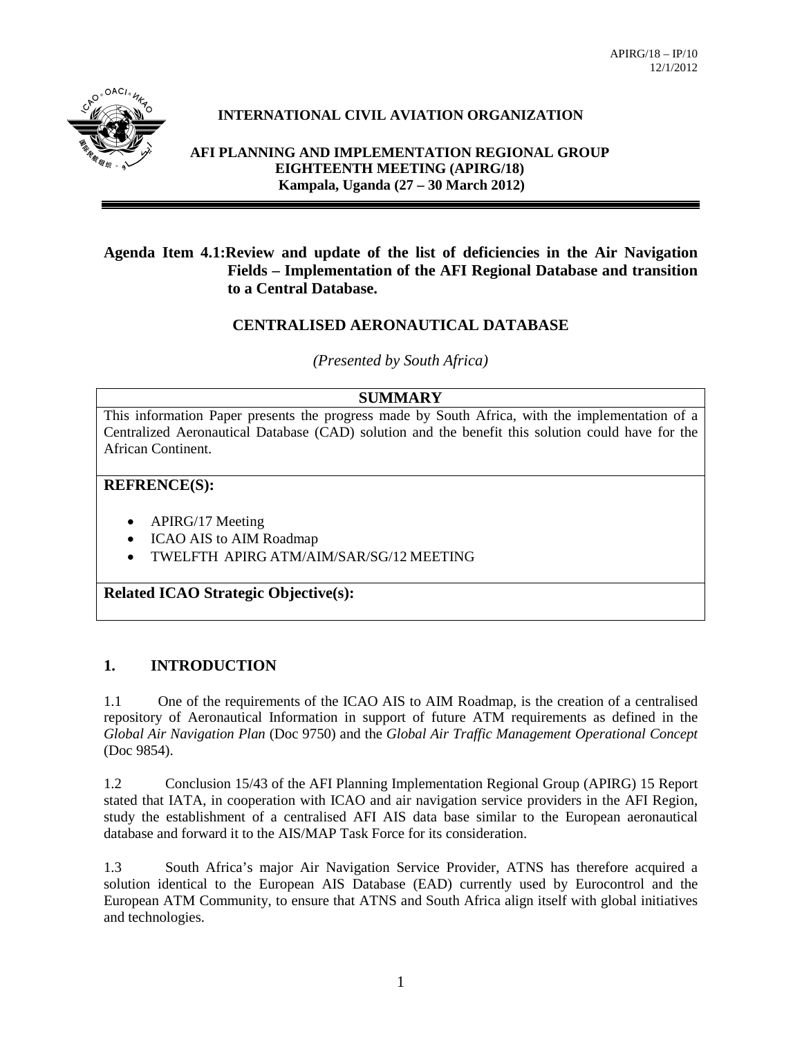

# **INTERNATIONAL CIVIL AVIATION ORGANIZATION**

**AFI PLANNING AND IMPLEMENTATION REGIONAL GROUP EIGHTEENTH MEETING (APIRG/18) Kampala, Uganda (27 – 30 March 2012)**

### **Agenda Item 4.1:Review and update of the list of deficiencies in the Air Navigation Fields – Implementation of the AFI Regional Database and transition to a Central Database.**

### **CENTRALISED AERONAUTICAL DATABASE**

*(Presented by South Africa)*

#### **SUMMARY**

This information Paper presents the progress made by South Africa, with the implementation of a Centralized Aeronautical Database (CAD) solution and the benefit this solution could have for the African Continent.

#### **REFRENCE(S):**

- APIRG/17 Meeting
- ICAO AIS to AIM Roadmap
- TWELFTH APIRG ATM/AIM/SAR/SG/12 MEETING

**Related ICAO Strategic Objective(s):**

#### **1. INTRODUCTION**

1.1 One of the requirements of the ICAO AIS to AIM Roadmap, is the creation of a centralised repository of Aeronautical Information in support of future ATM requirements as defined in the *Global Air Navigation Plan* (Doc 9750) and the *Global Air Traffic Management Operational Concept*  (Doc 9854).

1.2 Conclusion 15/43 of the AFI Planning Implementation Regional Group (APIRG) 15 Report stated that IATA, in cooperation with ICAO and air navigation service providers in the AFI Region, study the establishment of a centralised AFI AIS data base similar to the European aeronautical database and forward it to the AIS/MAP Task Force for its consideration.

1.3 South Africa's major Air Navigation Service Provider, ATNS has therefore acquired a solution identical to the European AIS Database (EAD) currently used by Eurocontrol and the European ATM Community, to ensure that ATNS and South Africa align itself with global initiatives and technologies.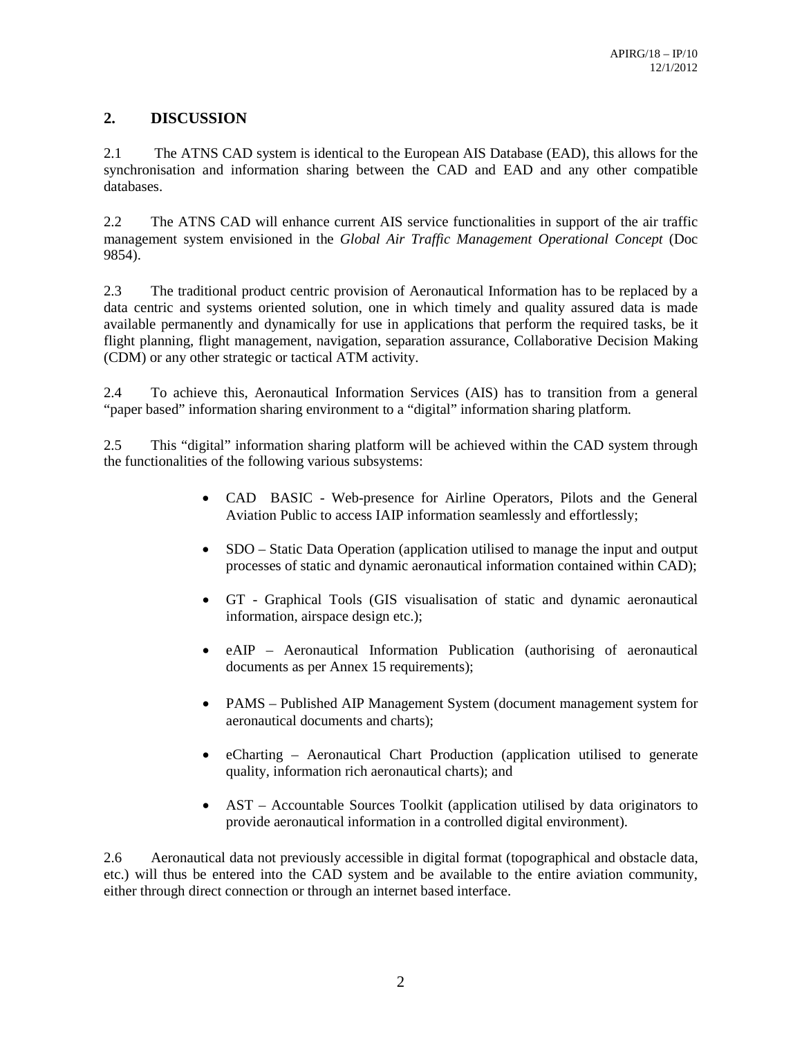## **2. DISCUSSION**

2.1 The ATNS CAD system is identical to the European AIS Database (EAD), this allows for the synchronisation and information sharing between the CAD and EAD and any other compatible databases.

2.2 The ATNS CAD will enhance current AIS service functionalities in support of the air traffic management system envisioned in the *Global Air Traffic Management Operational Concept* (Doc 9854).

2.3 The traditional product centric provision of Aeronautical Information has to be replaced by a data centric and systems oriented solution, one in which timely and quality assured data is made available permanently and dynamically for use in applications that perform the required tasks, be it flight planning, flight management, navigation, separation assurance, Collaborative Decision Making (CDM) or any other strategic or tactical ATM activity.

2.4 To achieve this, Aeronautical Information Services (AIS) has to transition from a general "paper based" information sharing environment to a "digital" information sharing platform.

2.5 This "digital" information sharing platform will be achieved within the CAD system through the functionalities of the following various subsystems:

- CAD BASIC Web-presence for Airline Operators, Pilots and the General Aviation Public to access IAIP information seamlessly and effortlessly;
- SDO Static Data Operation (application utilised to manage the input and output processes of static and dynamic aeronautical information contained within CAD);
- GT Graphical Tools (GIS visualisation of static and dynamic aeronautical information, airspace design etc.);
- eAIP Aeronautical Information Publication (authorising of aeronautical documents as per Annex 15 requirements);
- PAMS Published AIP Management System (document management system for aeronautical documents and charts);
- eCharting Aeronautical Chart Production (application utilised to generate quality, information rich aeronautical charts); and
- AST Accountable Sources Toolkit (application utilised by data originators to provide aeronautical information in a controlled digital environment).

2.6 Aeronautical data not previously accessible in digital format (topographical and obstacle data, etc.) will thus be entered into the CAD system and be available to the entire aviation community, either through direct connection or through an internet based interface.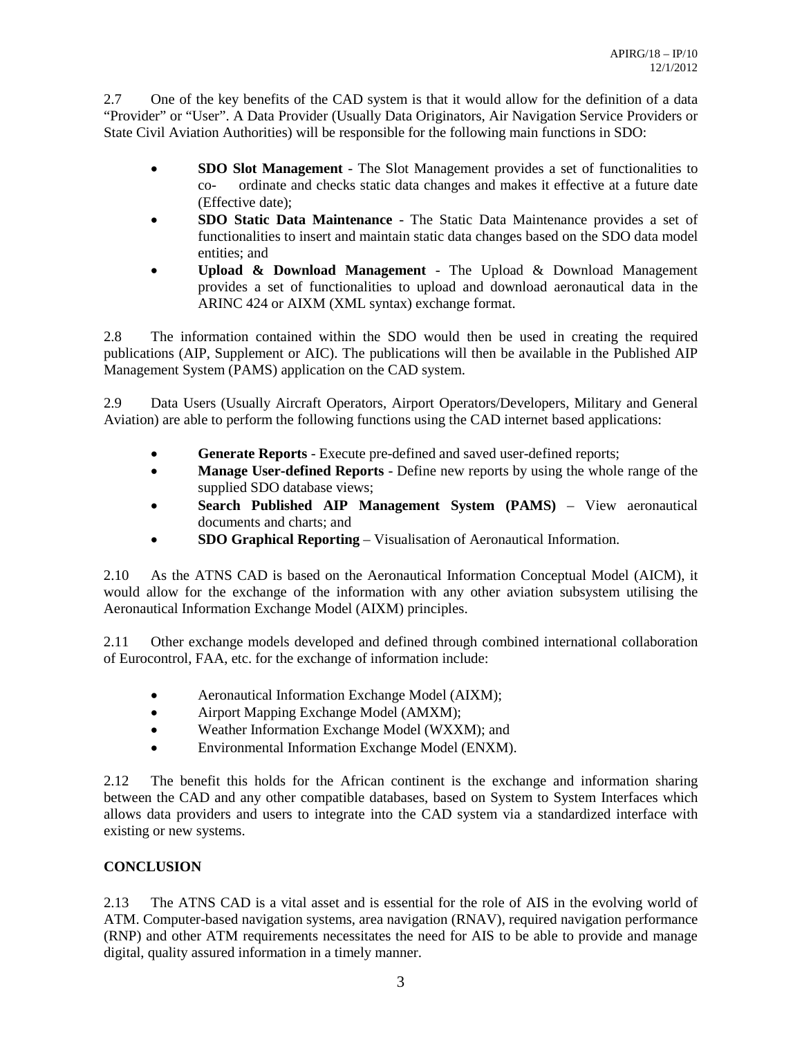2.7 One of the key benefits of the CAD system is that it would allow for the definition of a data "Provider" or "User". A Data Provider (Usually Data Originators, Air Navigation Service Providers or State Civil Aviation Authorities) will be responsible for the following main functions in SDO:

- **SDO Slot Management** The Slot Management provides a set of functionalities to co- ordinate and checks static data changes and makes it effective at a future date (Effective date);
- **SDO Static Data Maintenance** The Static Data Maintenance provides a set of functionalities to insert and maintain static data changes based on the SDO data model entities; and
- **Upload & Download Management** The Upload & Download Management provides a set of functionalities to upload and download aeronautical data in the ARINC 424 or AIXM (XML syntax) exchange format.

2.8 The information contained within the SDO would then be used in creating the required publications (AIP, Supplement or AIC). The publications will then be available in the Published AIP Management System (PAMS) application on the CAD system.

2.9 Data Users (Usually Aircraft Operators, Airport Operators/Developers, Military and General Aviation) are able to perform the following functions using the CAD internet based applications:

- **Generate Reports** Execute pre-defined and saved user-defined reports;
- **Manage User-defined Reports** Define new reports by using the whole range of the supplied SDO database views;
- **Search Published AIP Management System (PAMS)** View aeronautical documents and charts; and
- **SDO Graphical Reporting** Visualisation of Aeronautical Information.

2.10 As the ATNS CAD is based on the Aeronautical Information Conceptual Model (AICM), it would allow for the exchange of the information with any other aviation subsystem utilising the Aeronautical Information Exchange Model (AIXM) principles.

2.11 Other exchange models developed and defined through combined international collaboration of Eurocontrol, FAA, etc. for the exchange of information include:

- Aeronautical Information Exchange Model (AIXM);
- Airport Mapping Exchange Model (AMXM);
- Weather Information Exchange Model (WXXM); and
- Environmental Information Exchange Model (ENXM).

2.12 The benefit this holds for the African continent is the exchange and information sharing between the CAD and any other compatible databases, based on System to System Interfaces which allows data providers and users to integrate into the CAD system via a standardized interface with existing or new systems.

## **CONCLUSION**

2.13 The ATNS CAD is a vital asset and is essential for the role of AIS in the evolving world of ATM. Computer-based navigation systems, area navigation (RNAV), required navigation performance (RNP) and other ATM requirements necessitates the need for AIS to be able to provide and manage digital, quality assured information in a timely manner.